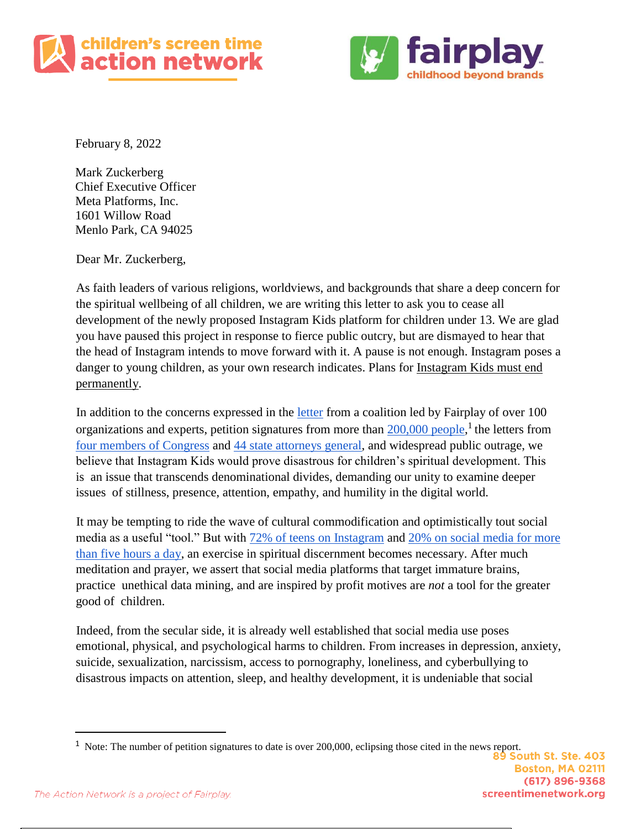



February 8, 2022

Mark Zuckerberg Chief Executive Officer Meta Platforms, Inc. 1601 Willow Road Menlo Park, CA 94025

Dear Mr. Zuckerberg,

As faith leaders of various religions, worldviews, and backgrounds that share a deep concern for the spiritual wellbeing of all children, we are writing this letter to ask you to cease all development of the newly proposed Instagram Kids platform for children under 13. We are glad you have paused this project in response to fierce public outcry, but are dismayed to hear that the head of Instagram intends to move forward with it. A pause is not enough. Instagram poses a danger to young children, as your own research indicates. Plans for Instagram Kids must end permanently.

In addition to the concerns expressed in the [letter](https://fairplayforkids.org/wp-content/uploads/2021/04/instagram_letter.pdf) from a coalition led by Fairplay of over 100 organizations and experts, petition signatures from more than [200,000 people,](https://www.usatoday.com/story/tech/2021/05/25/instagram-kids-facebook-mark-zuckerberg-petition/7419278002/)<sup>1</sup> the letters from [four members of Congress](https://trahan.house.gov/uploadedfiles/instagram_kids_letter.pdf) and [44 state attorneys general,](https://www.documentcloud.org/documents/20702192-naag-letter-to-facebook-on-ig-kids) and widespread public outrage, we believe that Instagram Kids would prove disastrous for children's spiritual development. This is an issue that transcends denominational divides, demanding our unity to examine deeper issues of stillness, presence, attention, empathy, and humility in the digital world.

It may be tempting to ride the wave of cultural commodification and optimistically tout social media as a useful "tool." But with [72% of teens on Instagram](https://www.pewresearch.org/internet/2018/05/31/teens-social-media-technology-2018/pi_2018-05-31_teenstech_0-01/) and [20% on social media for more](https://www.cmaj.ca/content/cmaj/192/6/E136.full.pdf)  [than five hours a day,](https://www.cmaj.ca/content/cmaj/192/6/E136.full.pdf) an exercise in spiritual discernment becomes necessary. After much meditation and prayer, we assert that social media platforms that target immature brains, practice unethical data mining, and are inspired by profit motives are *not* a tool for the greater good of children.

Indeed, from the secular side, it is already well established that social media use poses emotional, physical, and psychological harms to children. From increases in depression, anxiety, suicide, sexualization, narcissism, access to pornography, loneliness, and cyberbullying to disastrous impacts on attention, sleep, and healthy development, it is undeniable that social

<sup>&</sup>lt;sup>1</sup> Note: The number of petition signatures to date is over 200,000, eclipsing those cited in the news report.<br><sup>89</sup> South St. Ste. 403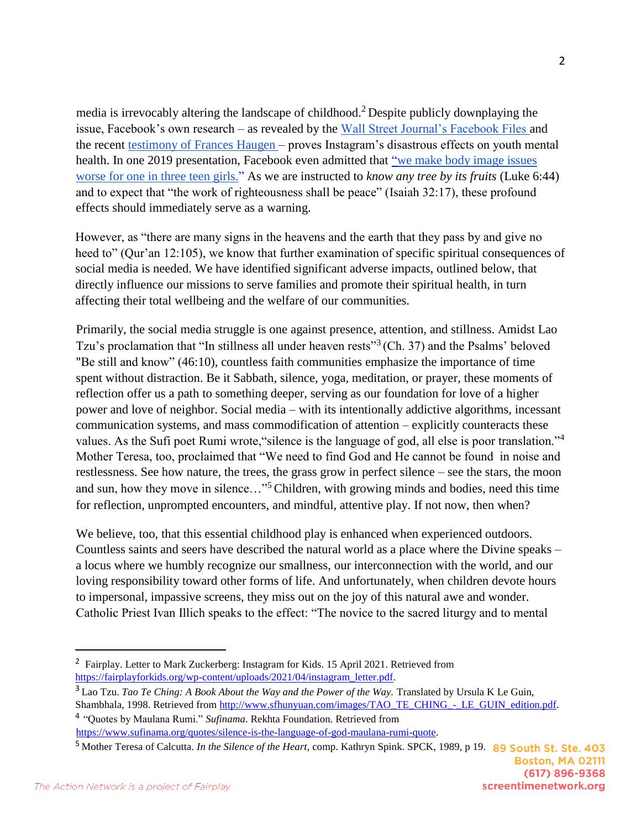media is irrevocably altering the landscape of childhood.<sup>2</sup> Despite publicly downplaying the issue, Facebook's own research – as revealed by the [Wall Street Journal's Facebook Files a](https://www.wsj.com/articles/the-facebook-files-11631713039)nd the recent [testimony of Frances Haugen –](https://techcrunch.com/2021/10/05/facebook-whistleblower-frances-haugen-testifies-before-the-senate/?guccounter=1&guce_referrer=aHR0cHM6Ly93d3cuZ29vZ2xlLmNvbS8&guce_referrer_sig=AQAAAMz0CCSjqgxJzDrV63EnYb9LUXnss5Zh1BjMgL9hRYd9k8NAs6KU8ulB7fhP10RA_PvwTV7OfKimdHzON8ylUwOUD3CLUy9B6hQclrkXaX_Xz873SxPBGK1Z117cnltCp87zDSE0Y2irx5lJIXdULpfbMLlJyvZMxPzjlcPtLCgk) proves Instagram's disastrous effects on youth mental health. In one 2019 presentation, Facebook even admitted that "we make body image issues [worse for one in three teen girls."](https://www.wsj.com/articles/facebook-knows-instagram-is-toxic-for-teen-girls-company-documents-show-11631620739?mod=hp_lead_pos7) As we are instructed to *know any tree by its fruits* (Luke 6:44) and to expect that "the work of righteousness shall be peace" (Isaiah 32:17), these profound effects should immediately serve as a warning.

However, as "there are many signs in the heavens and the earth that they pass by and give no heed to" (Qur'an 12:105), we know that further examination of specific spiritual consequences of social media is needed. We have identified significant adverse impacts, outlined below, that directly influence our missions to serve families and promote their spiritual health, in turn affecting their total wellbeing and the welfare of our communities.

Primarily, the social media struggle is one against presence, attention, and stillness. Amidst Lao Tzu's proclamation that "In stillness all under heaven rests"<sup>3</sup> (Ch. 37) and the Psalms' beloved "Be still and know" (46:10), countless faith communities emphasize the importance of time spent without distraction. Be it Sabbath, silence, yoga, meditation, or prayer, these moments of reflection offer us a path to something deeper, serving as our foundation for love of a higher power and love of neighbor. Social media – with its intentionally addictive algorithms, incessant communication systems, and mass commodification of attention – explicitly counteracts these values. As the Sufi poet Rumi wrote, "silence is the language of god, all else is poor translation."<sup>4</sup> Mother Teresa, too, proclaimed that "We need to find God and He cannot be found in noise and restlessness. See how nature, the trees, the grass grow in perfect silence – see the stars, the moon and sun, how they move in silence…"5Children, with growing minds and bodies, need this time for reflection, unprompted encounters, and mindful, attentive play. If not now, then when?

We believe, too, that this essential childhood play is enhanced when experienced outdoors. Countless saints and seers have described the natural world as a place where the Divine speaks – a locus where we humbly recognize our smallness, our interconnection with the world, and our loving responsibility toward other forms of life. And unfortunately, when children devote hours to impersonal, impassive screens, they miss out on the joy of this natural awe and wonder. Catholic Priest Ivan Illich speaks to the effect: "The novice to the sacred liturgy and to mental

4 "Quotes by Maulana Rumi." *Sufinama*. Rekhta Foundation. Retrieved from https://www.sufinama.org/quotes/silence-is-the-language-of-god-maulana-rumi-quote.

<sup>&</sup>lt;sup>2</sup> Fairplay. Letter to Mark Zuckerberg: Instagram for Kids. 15 April 2021. Retrieved from https://fairplayforkids.org/wp-content/uploads/2021/04/instagram\_letter.pdf.

<sup>&</sup>lt;sup>3</sup> Lao Tzu. *Tao Te Ching: A Book About the Way and the Power of the Way*. Translated by Ursula K Le Guin, Shambhala, 1998. Retrieved from http://www.sfhunyuan.com/images/TAO\_TE\_CHING\_-\_LE\_GUIN\_edition.pdf.

<sup>5</sup> Mother Teresa of Calcutta. *In the Silence of the Heart,* comp. Kathryn Spink. SPCK, 1989, p 19.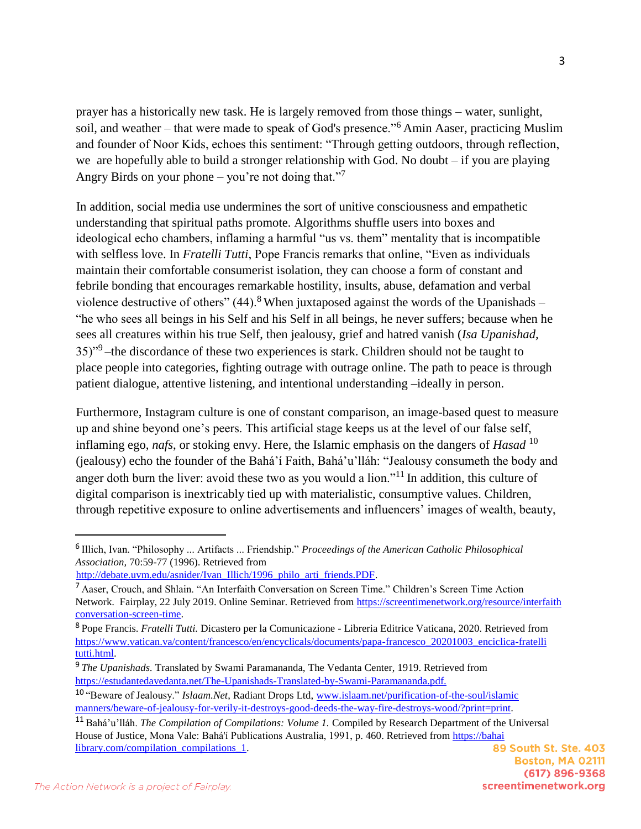prayer has a historically new task. He is largely removed from those things – water, sunlight, soil, and weather – that were made to speak of God's presence."<sup>6</sup> Amin Aaser, practicing Muslim and founder of Noor Kids, echoes this sentiment: "Through getting outdoors, through reflection, we are hopefully able to build a stronger relationship with God. No doubt – if you are playing Angry Birds on your phone – you're not doing that."

In addition, social media use undermines the sort of unitive consciousness and empathetic understanding that spiritual paths promote. Algorithms shuffle users into boxes and ideological echo chambers, inflaming a harmful "us vs. them" mentality that is incompatible with selfless love. In *Fratelli Tutti*, Pope Francis remarks that online, "Even as individuals maintain their comfortable consumerist isolation, they can choose a form of constant and febrile bonding that encourages remarkable hostility, insults, abuse, defamation and verbal violence destructive of others"  $(44)$ .<sup>8</sup> When juxtaposed against the words of the Upanishads – "he who sees all beings in his Self and his Self in all beings, he never suffers; because when he sees all creatures within his true Self, then jealousy, grief and hatred vanish (*Isa Upanishad,*  35)"<sup>9</sup> –the discordance of these two experiences is stark. Children should not be taught to place people into categories, fighting outrage with outrage online. The path to peace is through patient dialogue, attentive listening, and intentional understanding –ideally in person.

Furthermore, Instagram culture is one of constant comparison, an image-based quest to measure up and shine beyond one's peers. This artificial stage keeps us at the level of our false self, inflaming ego, *nafs*, or stoking envy. Here, the Islamic emphasis on the dangers of *Hasad* <sup>10</sup> (jealousy) echo the founder of the Bahá'í Faith, Bahá'u'lláh: "Jealousy consumeth the body and anger doth burn the liver: avoid these two as you would a lion."<sup>11</sup> In addition, this culture of digital comparison is inextricably tied up with materialistic, consumptive values. Children, through repetitive exposure to online advertisements and influencers' images of wealth, beauty,

```
http://debate.uvm.edu/asnider/Ivan_Illich/1996_philo_arti_friends.PDF.
```
<sup>6</sup> Illich, Ivan. "Philosophy ... Artifacts ... Friendship." *Proceedings of the American Catholic Philosophical Association,* 70:59-77 (1996). Retrieved from

<sup>7</sup> Aaser, Crouch, and Shlain. "An Interfaith Conversation on Screen Time." Children's Screen Time Action Network. Fairplay, 22 July 2019. Online Seminar. Retrieved from https://screentimenetwork.org/resource/interfaith conversation-screen-time.

<sup>8</sup> Pope Francis. *Fratelli Tutti.* Dicastero per la Comunicazione - Libreria Editrice Vaticana, 2020. Retrieved from https://www.vatican.va/content/francesco/en/encyclicals/documents/papa-francesco\_20201003\_enciclica-fratelli tutti.html.

<sup>9</sup> *The Upanishads.* Translated by Swami Paramananda, The Vedanta Center, 1919. Retrieved from https://estudantedavedanta.net/The-Upanishads-Translated-by-Swami-Paramananda.pdf.

<sup>10</sup> "Beware of Jealousy." *Islaam.Net*, Radiant Drops Ltd, www.islaam.net/purification-of-the-soul/islamic manners/beware-of-jealousy-for-verily-it-destroys-good-deeds-the-way-fire-destroys-wood/?print=print.

<sup>11</sup> Bahá'u'lláh. *The Compilation of Compilations: Volume 1.* Compiled by Research Department of the Universal House of Justice, Mona Vale: Bahá'í Publications Australia, 1991, p. 460. Retrieved from https://bahai library.com/compilation\_compilations\_1.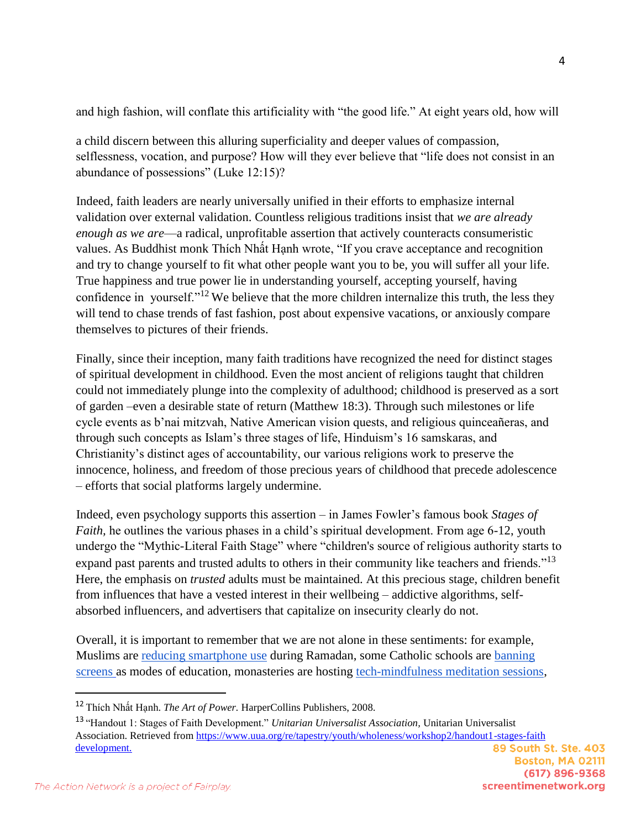and high fashion, will conflate this artificiality with "the good life." At eight years old, how will

a child discern between this alluring superficiality and deeper values of compassion, selflessness, vocation, and purpose? How will they ever believe that "life does not consist in an abundance of possessions" (Luke 12:15)?

Indeed, faith leaders are nearly universally unified in their efforts to emphasize internal validation over external validation. Countless religious traditions insist that *we are already enough as we are*—a radical, unprofitable assertion that actively counteracts consumeristic values. As Buddhist monk Thích Nhất Hạnh wrote, "If you crave acceptance and recognition and try to change yourself to fit what other people want you to be, you will suffer all your life. True happiness and true power lie in understanding yourself, accepting yourself, having confidence in yourself."<sup>12</sup> We believe that the more children internalize this truth, the less they will tend to chase trends of fast fashion, post about expensive vacations, or anxiously compare themselves to pictures of their friends.

Finally, since their inception, many faith traditions have recognized the need for distinct stages of spiritual development in childhood. Even the most ancient of religions taught that children could not immediately plunge into the complexity of adulthood; childhood is preserved as a sort of garden –even a desirable state of return (Matthew 18:3). Through such milestones or life cycle events as b'nai mitzvah, Native American vision quests, and religious quinceañeras, and through such concepts as Islam's three stages of life, Hinduism's 16 samskaras, and Christianity's distinct ages of accountability, our various religions work to preserve the innocence, holiness, and freedom of those precious years of childhood that precede adolescence – efforts that social platforms largely undermine.

Indeed, even psychology supports this assertion – in James Fowler's famous book *Stages of Faith*, he outlines the various phases in a child's spiritual development. From age 6-12, youth undergo the "Mythic-Literal Faith Stage" where "children's source of religious authority starts to expand past parents and trusted adults to others in their community like teachers and friends."<sup>13</sup> Here, the emphasis on *trusted* adults must be maintained. At this precious stage, children benefit from influences that have a vested interest in their wellbeing – addictive algorithms, selfabsorbed influencers, and advertisers that capitalize on insecurity clearly do not.

Overall, it is important to remember that we are not alone in these sentiments: for example, Muslims are [reducing smartphone use](https://www.sltrib.com/religion/2019/05/15/smartphone-is-weapon-mass/) during Ramadan, some Catholic schools are [banning](https://www.google.com/url?sa=D&q=https://www.catholicworldreport.com/2018/01/31/why-more-catholic-schools-are-looking-to-minimize-screen-time/&ust=1644349020000000&usg=AOvVaw0ciXxqTTmGsXu15ghjcBVZ&hl=en)  [screens](https://www.google.com/url?sa=D&q=https://www.catholicworldreport.com/2018/01/31/why-more-catholic-schools-are-looking-to-minimize-screen-time/&ust=1644349020000000&usg=AOvVaw0ciXxqTTmGsXu15ghjcBVZ&hl=en) as modes of education, monasteries are hosting [tech-mindfulness meditation sessions,](https://www.google.com/url?sa=D&q=https://www.npr.org/2018/07/07/625332469/many-look-to-buddhism-for-sanctuary-from-an-over-connected-world&ust=1644349020000000&usg=AOvVaw1K_oXr7nWXWlex1Tjd67BB&hl=en)

<sup>12</sup> Thích Nhất Hạnh. *The Art of Power.* HarperCollins Publishers, 2008.

<sup>13</sup> "Handout 1: Stages of Faith Development." *Unitarian Universalist Association,* Unitarian Universalist Association. Retrieved from https://www.uua.org/re/tapestry/youth/wholeness/workshop2/handout1-stages-faith development.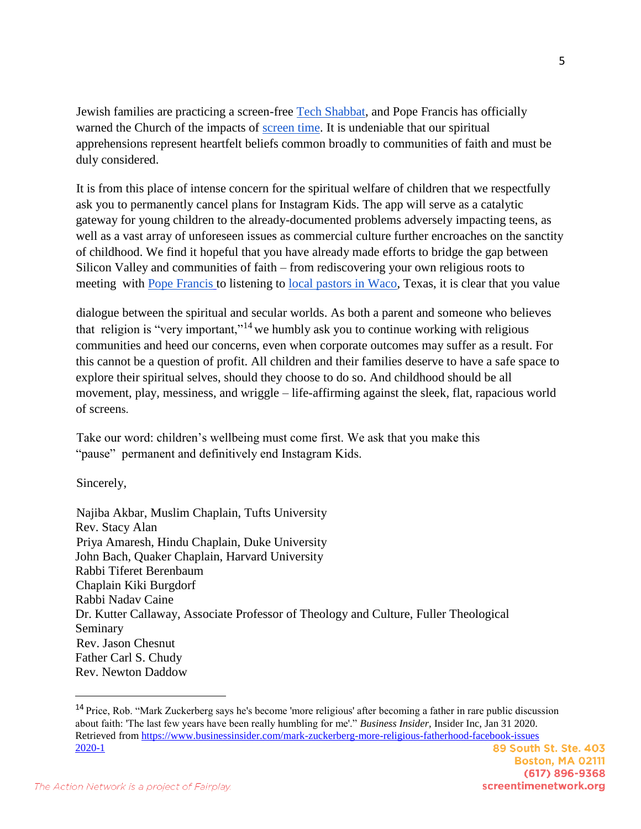Jewish families are practicing a screen-free [Tech Shabbat,](https://www.washingtonjewishweek.com/why-we-need-the-screen-free-chanukah-challenge-this-year/) and Pope Francis has officially warned the Church of the impacts of [screen time.](https://www.americamagazine.org/faith/2020/10/18/screen-time-officially-catholic-social-teaching-pope-francis-fratelli-tutti) It is undeniable that our spiritual apprehensions represent heartfelt beliefs common broadly to communities of faith and must be duly considered.

It is from this place of intense concern for the spiritual welfare of children that we respectfully ask you to permanently cancel plans for Instagram Kids. The app will serve as a catalytic gateway for young children to the already-documented problems adversely impacting teens, as well as a vast array of unforeseen issues as commercial culture further encroaches on the sanctity of childhood. We find it hopeful that you have already made efforts to bridge the gap between Silicon Valley and communities of faith – from rediscovering your own religious roots to meeting with [Pope Francis](https://www.theatlantic.com/technology/archive/2016/08/pope-francis-meets-with-mark-zuckberg/497819/) to listening to [local pastors in Waco,](https://wacotrib.com/news/facebook-s-mark-zuckerberg-meets-with-waco-pastors/article_6468f3f2-f8fe-5b8e-abc0-f3b6b76091a5.html) Texas, it is clear that you value

dialogue between the spiritual and secular worlds. As both a parent and someone who believes that religion is "very important,"<sup>14</sup> we humbly ask you to continue working with religious communities and heed our concerns, even when corporate outcomes may suffer as a result. For this cannot be a question of profit. All children and their families deserve to have a safe space to explore their spiritual selves, should they choose to do so. And childhood should be all movement, play, messiness, and wriggle – life-affirming against the sleek, flat, rapacious world of screens.

Take our word: children's wellbeing must come first. We ask that you make this "pause" permanent and definitively end Instagram Kids.

Sincerely,

 $\overline{a}$ 

Najiba Akbar, Muslim Chaplain, Tufts University Rev. Stacy Alan Priya Amaresh, Hindu Chaplain, Duke University John Bach, Quaker Chaplain, Harvard University Rabbi Tiferet Berenbaum Chaplain Kiki Burgdorf Rabbi Nadav Caine Dr. Kutter Callaway, Associate Professor of Theology and Culture, Fuller Theological Seminary Rev. Jason Chesnut Father Carl S. Chudy Rev. Newton Daddow

<sup>14</sup> Price, Rob. "Mark Zuckerberg says he's become 'more religious' after becoming a father in rare public discussion about faith: 'The last few years have been really humbling for me'." *Business Insider,* Insider Inc, Jan 31 2020. Retrieved from https://www.businessinsider.com/mark-zuckerberg-more-religious-fatherhood-facebook-issues 2020-1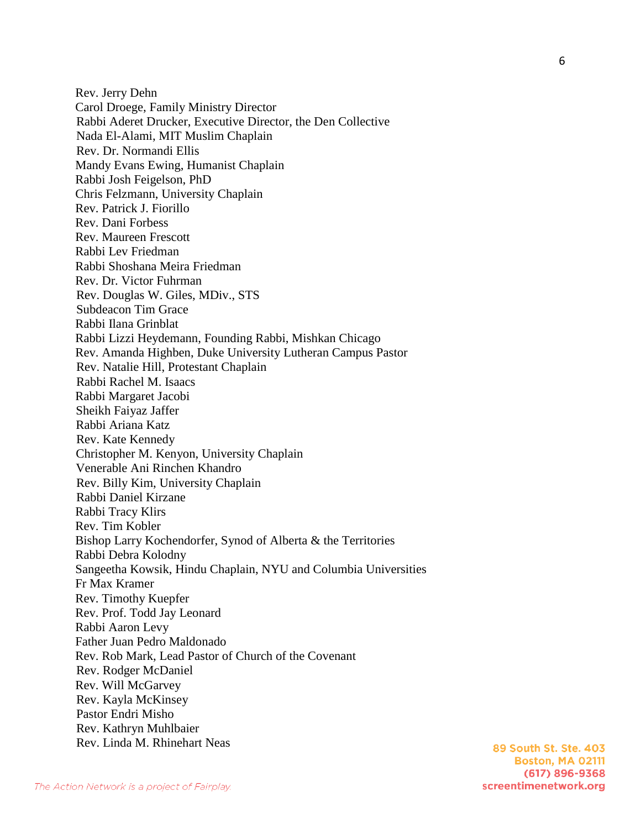Rev. Jerry Dehn Carol Droege, Family Ministry Director Rabbi Aderet Drucker, Executive Director, the Den Collective Nada El-Alami, MIT Muslim Chaplain Rev. Dr. Normandi Ellis Mandy Evans Ewing, Humanist Chaplain Rabbi Josh Feigelson, PhD Chris Felzmann, University Chaplain Rev. Patrick J. Fiorillo Rev. Dani Forbess Rev. Maureen Frescott Rabbi Lev Friedman Rabbi Shoshana Meira Friedman Rev. Dr. Victor Fuhrman Rev. Douglas W. Giles, MDiv., STS Subdeacon Tim Grace Rabbi Ilana Grinblat Rabbi Lizzi Heydemann, Founding Rabbi, Mishkan Chicago Rev. Amanda Highben, Duke University Lutheran Campus Pastor Rev. Natalie Hill, Protestant Chaplain Rabbi Rachel M. Isaacs Rabbi Margaret Jacobi Sheikh Faiyaz Jaffer Rabbi Ariana Katz Rev. Kate Kennedy Christopher M. Kenyon, University Chaplain Venerable Ani Rinchen Khandro Rev. Billy Kim, University Chaplain Rabbi Daniel Kirzane Rabbi Tracy Klirs Rev. Tim Kobler Bishop Larry Kochendorfer, Synod of Alberta & the Territories Rabbi Debra Kolodny Sangeetha Kowsik, Hindu Chaplain, NYU and Columbia Universities Fr Max Kramer Rev. Timothy Kuepfer Rev. Prof. Todd Jay Leonard Rabbi Aaron Levy Father Juan Pedro Maldonado Rev. Rob Mark, Lead Pastor of Church of the Covenant Rev. Rodger McDaniel Rev. Will McGarvey Rev. Kayla McKinsey Pastor Endri Misho Rev. Kathryn Muhlbaier Rev. Linda M. Rhinehart Neas